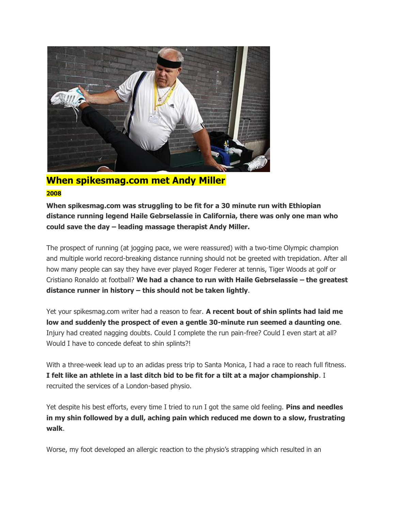

## **When spikesmag.com met Andy Miller 2008**

**When spikesmag.com was struggling to be fit for a 30 minute run with Ethiopian distance running legend Haile Gebrselassie in California, there was only one man who could save the day – leading massage therapist Andy Miller.**

The prospect of running (at jogging pace, we were reassured) with a two-time Olympic champion and multiple world record-breaking distance running should not be greeted with trepidation. After all how many people can say they have ever played Roger Federer at tennis, Tiger Woods at golf or Cristiano Ronaldo at football? **We had a chance to run with Haile Gebrselassie – the greatest distance runner in history – this should not be taken lightly**.

Yet your spikesmag.com writer had a reason to fear. **A recent bout of shin splints had laid me low and suddenly the prospect of even a gentle 30-minute run seemed a daunting one**. Injury had created nagging doubts. Could I complete the run pain-free? Could I even start at all? Would I have to concede defeat to shin splints?!

With a three-week lead up to an adidas press trip to Santa Monica, I had a race to reach full fitness. **I felt like an athlete in a last ditch bid to be fit for a tilt at a major championship**. I recruited the services of a London-based physio.

Yet despite his best efforts, every time I tried to run I got the same old feeling. **Pins and needles in my shin followed by a dull, aching pain which reduced me down to a slow, frustrating walk**.

Worse, my foot developed an allergic reaction to the physio's strapping which resulted in an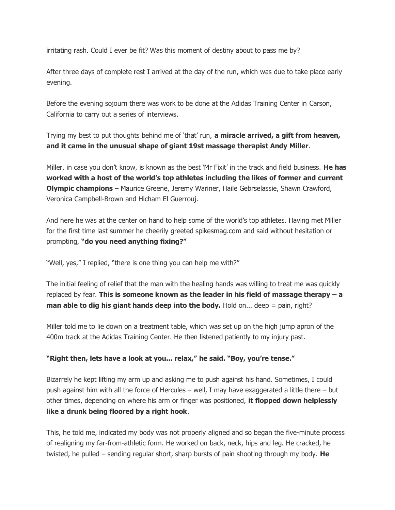irritating rash. Could I ever be fit? Was this moment of destiny about to pass me by?

After three days of complete rest I arrived at the day of the run, which was due to take place early evening.

Before the evening sojourn there was work to be done at the Adidas Training Center in Carson, California to carry out a series of interviews.

Trying my best to put thoughts behind me of 'that' run, **a miracle arrived, a gift from heaven, and it came in the unusual shape of giant 19st massage therapist Andy Miller**.

Miller, in case you don't know, is known as the best 'Mr Fixit' in the track and field business. **He has worked with a host of the world's top athletes including the likes of former and current Olympic champions** – Maurice Greene, Jeremy Wariner, Haile Gebrselassie, Shawn Crawford, Veronica Campbell-Brown and Hicham El Guerrouj.

And here he was at the center on hand to help some of the world's top athletes. Having met Miller for the first time last summer he cheerily greeted spikesmag.com and said without hesitation or prompting, **"do you need anything fixing?"**

"Well, yes," I replied, "there is one thing you can help me with?"

The initial feeling of relief that the man with the healing hands was willing to treat me was quickly replaced by fear. **This is someone known as the leader in his field of massage therapy – a man able to dig his giant hands deep into the body.** Hold on... deep = pain, right?

Miller told me to lie down on a treatment table, which was set up on the high jump apron of the 400m track at the Adidas Training Center. He then listened patiently to my injury past.

## **"Right then, lets have a look at you... relax," he said. "Boy, you're tense."**

Bizarrely he kept lifting my arm up and asking me to push against his hand. Sometimes, I could push against him with all the force of Hercules – well, I may have exaggerated a little there – but other times, depending on where his arm or finger was positioned, **it flopped down helplessly like a drunk being floored by a right hook**.

This, he told me, indicated my body was not properly aligned and so began the five-minute process of realigning my far-from-athletic form. He worked on back, neck, hips and leg. He cracked, he twisted, he pulled – sending regular short, sharp bursts of pain shooting through my body. **He**